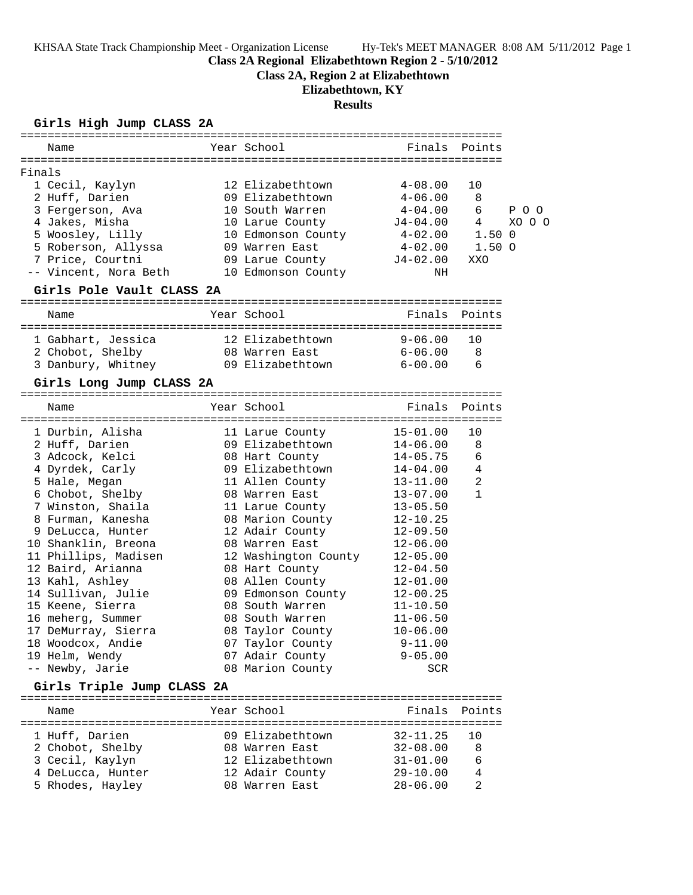**Class 2A Regional Elizabethtown Region 2 - 5/10/2012**

**Class 2A, Region 2 at Elizabethtown**

# **Elizabethtown, KY**

# **Results**

# **Girls High Jump CLASS 2A**

| Name                                | Year School                   | Finals        | Points         |        |
|-------------------------------------|-------------------------------|---------------|----------------|--------|
|                                     |                               |               |                |        |
| Finals                              |                               |               |                |        |
| 1 Cecil, Kaylyn                     | 12 Elizabethtown              | $4 - 08.00$   | 10             |        |
| 2 Huff, Darien                      | 09 Elizabethtown              | $4 - 06.00$   | 8              |        |
| 3 Fergerson, Ava                    | 10 South Warren               | $4 - 04.00$   | 6              | POO    |
| 4 Jakes, Misha                      | 10 Larue County               | J4-04.00      | $4\degree$     | XO O O |
| 5 Woosley, Lilly                    | 10 Edmonson County            | $4 - 02.00$   | 1.500          |        |
| 5 Roberson, Allyssa                 | 09 Warren East                | $4 - 02.00$   | 1.50O          |        |
| 7 Price, Courtni                    | 09 Larue County               | $J4 - 02.00$  | XXO            |        |
| -- Vincent, Nora Beth               | 10 Edmonson County            | NH            |                |        |
| Girls Pole Vault CLASS 2A           |                               |               |                |        |
| Name                                | Year School                   | Finals Points |                |        |
| 1 Gabhart, Jessica                  | 12 Elizabethtown              | $9 - 06.00$   | 10             |        |
| 2 Chobot, Shelby                    | 08 Warren East                | $6 - 06.00$   | 8              |        |
| 3 Danbury, Whitney 09 Elizabethtown |                               | $6 - 00.00$   | 6              |        |
| Girls Long Jump CLASS 2A            |                               |               |                |        |
|                                     |                               |               |                |        |
| Name                                | Year School                   | Finals Points |                |        |
| 1 Durbin, Alisha                    | 11 Larue County               | $15 - 01.00$  | 10             |        |
| 2 Huff, Darien                      | 09 Elizabethtown              | $14 - 06.00$  | 8              |        |
| 3 Adcock, Kelci                     | 08 Hart County                | $14 - 05.75$  | 6              |        |
| 4 Dyrdek, Carly                     | 09 Elizabethtown              | 14-04.00      | $\overline{4}$ |        |
| 5 Hale, Megan                       | 11 Allen County               | 13-11.00      | 2              |        |
| 6 Chobot, Shelby                    | 08 Warren East                | $13 - 07.00$  | $\mathbf{1}$   |        |
| 7 Winston, Shaila                   | 11 Larue County               | $13 - 05.50$  |                |        |
| 8 Furman, Kanesha                   | 08 Marion County              | $12 - 10.25$  |                |        |
| 9 DeLucca, Hunter                   | 12 Adair County               | $12 - 09.50$  |                |        |
| 10 Shanklin, Breona                 | 08 Warren East                | $12 - 06.00$  |                |        |
| 11 Phillips, Madisen                | 12 Washington County 12-05.00 |               |                |        |
| 12 Baird, Arianna                   | 08 Hart County                | $12 - 04.50$  |                |        |
| 13 Kahl, Ashley                     | 08 Allen County               | $12 - 01.00$  |                |        |
| 14 Sullivan, Julie                  | 09 Edmonson County            | $12 - 00.25$  |                |        |
| 15 Keene, Sierra                    | 08 South Warren               | $11 - 10.50$  |                |        |
| 16 meherg, Summer                   | 08 South Warren               | $11 - 06.50$  |                |        |
| 17 DeMurray, Sierra                 | 08 Taylor County              | $10 - 06.00$  |                |        |
| 18 Woodcox, Andie                   | 07 Taylor County              | $9 - 11.00$   |                |        |
| 19 Helm, Wendy                      | 07 Adair County               | $9 - 05.00$   |                |        |
| -- Newby, Jarie                     | 08 Marion County              | SCR           |                |        |
| Girls Triple Jump CLASS 2A          |                               |               |                |        |
| Name                                | Year School                   | Finals        | Points         |        |
|                                     |                               |               |                |        |
| 1 Huff, Darien                      | 09 Elizabethtown              | $32 - 11.25$  | 10             |        |
| 2 Chobot, Shelby                    | 08 Warren East                | $32 - 08.00$  | 8              |        |
| 3 Cecil, Kaylyn                     | 12 Elizabethtown              | $31 - 01.00$  | 6              |        |
| 4 DeLucca, Hunter                   | 12 Adair County               | $29 - 10.00$  | 4              |        |
| 5 Rhodes, Hayley                    | 08 Warren East                | $28 - 06.00$  | 2              |        |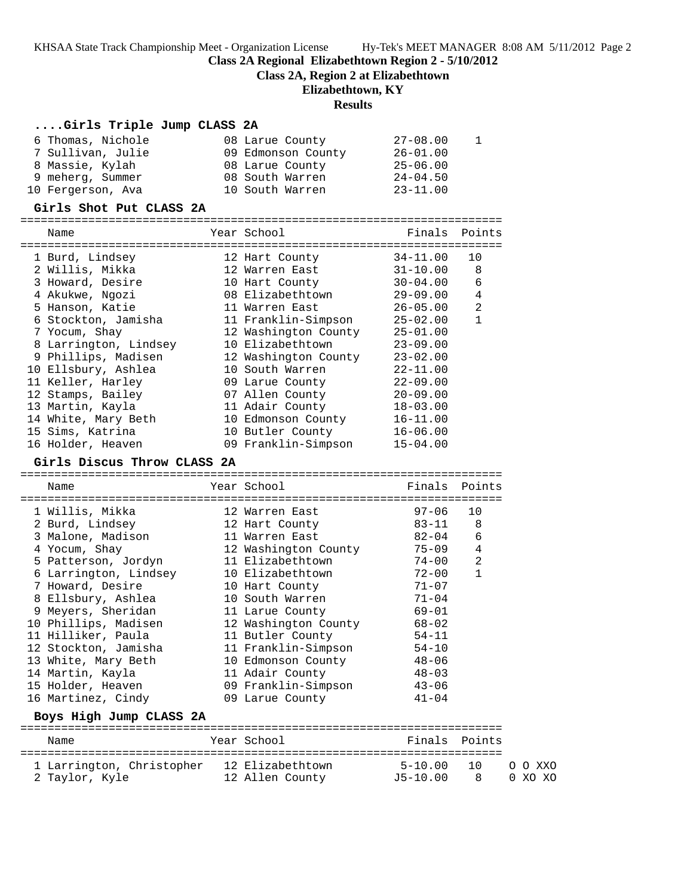**Class 2A Regional Elizabethtown Region 2 - 5/10/2012**

**Class 2A, Region 2 at Elizabethtown**

### **Elizabethtown, KY**

## **Results**

### **....Girls Triple Jump CLASS 2A**

| 6 Thomas, Nichole | 08 Larue County    | $27 - 08.00$ | $\mathbf{1}$ |
|-------------------|--------------------|--------------|--------------|
| 7 Sullivan, Julie | 09 Edmonson County | $26 - 01.00$ |              |
| 8 Massie, Kylah   | 08 Larue County    | $25 - 06.00$ |              |
| 9 meherg, Summer  | 08 South Warren    | $24 - 04.50$ |              |
| 10 Fergerson, Ava | 10 South Warren    | $23 - 11.00$ |              |

#### **Girls Shot Put CLASS 2A**

| Name                  | Year School          | Finals       | Points         |
|-----------------------|----------------------|--------------|----------------|
|                       |                      |              |                |
| 1 Burd, Lindsey       | 12 Hart County       | $34 - 11.00$ | 10             |
| 2 Willis, Mikka       | 12 Warren East       | $31 - 10.00$ | 8              |
| 3 Howard, Desire      | 10 Hart County       | $30 - 04.00$ | 6              |
| 4 Akukwe, Ngozi       | 08 Elizabethtown     | $29 - 09.00$ | 4              |
| 5 Hanson, Katie       | 11 Warren East       | $26 - 05.00$ | $\mathfrak{D}$ |
| 6 Stockton, Jamisha   | 11 Franklin-Simpson  | $25 - 02.00$ |                |
| 7 Yocum, Shay         | 12 Washington County | $25 - 01.00$ |                |
| 8 Larrington, Lindsey | 10 Elizabethtown     | $23 - 09.00$ |                |
| 9 Phillips, Madisen   | 12 Washington County | $23 - 02.00$ |                |
| 10 Ellsbury, Ashlea   | 10 South Warren      | $22 - 11.00$ |                |
| 11 Keller, Harley     | 09 Larue County      | $22 - 09.00$ |                |
| 12 Stamps, Bailey     | 07 Allen County      | $20 - 09.00$ |                |
| 13 Martin, Kayla      | 11 Adair County      | $18 - 03.00$ |                |
| 14 White, Mary Beth   | 10 Edmonson County   | $16 - 11.00$ |                |
| 15 Sims, Katrina      | 10 Butler County     | $16 - 06.00$ |                |
| 16 Holder, Heaven     | 09 Franklin-Simpson  | $15 - 04.00$ |                |

#### **Girls Discus Throw CLASS 2A**

======================================================================= Name The Year School The Finals Points ======================================================================= 1 Willis, Mikka 12 Warren East 97-06 10 2 Burd, Lindsey 12 Hart County 83-11 8 3 Malone, Madison 11 Warren East 82-04 6 4 Yocum, Shay 12 Washington County 75-09 4 5 Patterson, Jordyn 11 Elizabethtown 74-00 2 6 Larrington, Lindsey 10 Elizabethtown 72-00 1 7 Howard, Desire 10 Hart County 71-07 8 Ellsbury, Ashlea 10 South Warren 71-04 9 Meyers, Sheridan 11 Larue County 69-01 10 Phillips, Madisen 12 Washington County 68-02 11 Hilliker, Paula 11 Butler County 54-11 12 Stockton, Jamisha 11 Franklin-Simpson 54-10 13 White, Mary Beth 10 Edmonson County 48-06 14 Martin, Kayla 11 Adair County 48-03 15 Holder, Heaven 09 Franklin-Simpson 43-06 16 Martinez, Cindy 09 Larue County 41-04

### **Boys High Jump CLASS 2A**

| Name                      | Year School      | Finals Points |           |         |
|---------------------------|------------------|---------------|-----------|---------|
| 1 Larrington, Christopher | 12 Elizabethtown | 5-10.00       | <u>10</u> | O O XXO |
| 2 Taylor, Kyle            | 12 Allen County  | .00 .00-5T    | - 8       | U XV XV |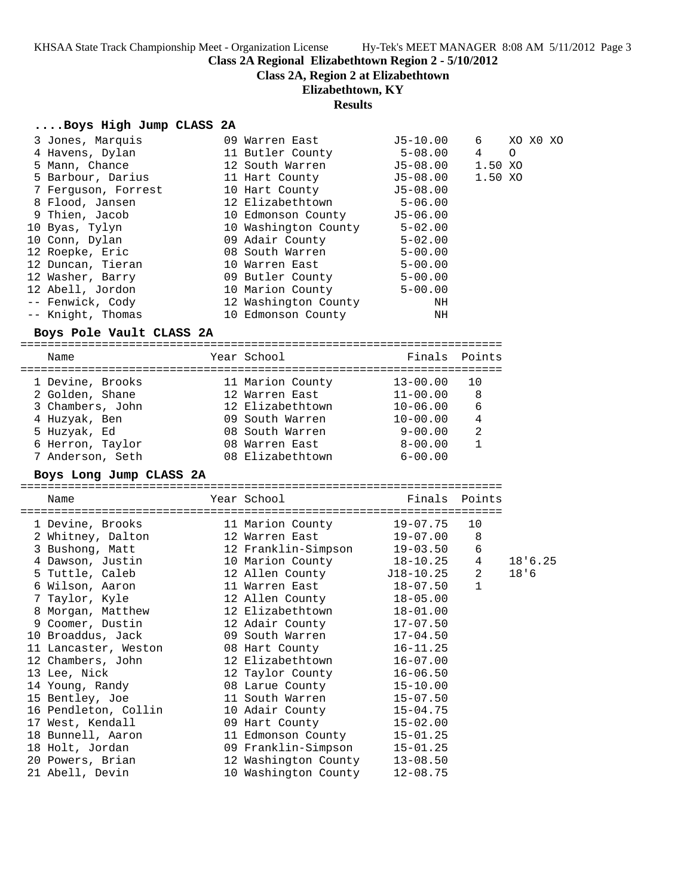**Class 2A Regional Elizabethtown Region 2 - 5/10/2012**

**Class 2A, Region 2 at Elizabethtown**

### **Elizabethtown, KY**

### **Results**

#### **....Boys High Jump CLASS 2A**

| 3 Jones, Marquis    | 09 Warren East       | $J5 - 10.00$ | 6       | XO XO XO |  |
|---------------------|----------------------|--------------|---------|----------|--|
| 4 Havens, Dylan     | 11 Butler County     | $5 - 08.00$  | 4       | $\circ$  |  |
| 5 Mann, Chance      | 12 South Warren      | J5-08.00     | 1.50 XO |          |  |
| 5 Barbour, Darius   | 11 Hart County       | J5-08.00     | 1.50 XO |          |  |
| 7 Ferquson, Forrest | 10 Hart County       | $J5-08.00$   |         |          |  |
| 8 Flood, Jansen     | 12 Elizabethtown     | $5 - 06.00$  |         |          |  |
| 9 Thien, Jacob      | 10 Edmonson County   | J5-06.00     |         |          |  |
| 10 Byas, Tylyn      | 10 Washington County | $5 - 02.00$  |         |          |  |
| 10 Conn, Dylan      | 09 Adair County      | $5 - 02.00$  |         |          |  |
| 12 Roepke, Eric     | 08 South Warren      | $5 - 00.00$  |         |          |  |
| 12 Duncan, Tieran   | 10 Warren East       | $5 - 00.00$  |         |          |  |
| 12 Washer, Barry    | 09 Butler County     | $5 - 00.00$  |         |          |  |
| 12 Abell, Jordon    | 10 Marion County     | $5 - 00.00$  |         |          |  |
| -- Fenwick, Cody    | 12 Washington County | ΝH           |         |          |  |
| -- Knight, Thomas   | 10 Edmonson County   | ΝH           |         |          |  |
|                     |                      |              |         |          |  |

#### **Boys Pole Vault CLASS 2A**

======================================================================= Name The Year School The Finals Points ======================================================================= 1 Devine, Brooks 11 Marion County 13-00.00 10 2 Golden, Shane 12 Warren East 11-00.00 8 3 Chambers, John 12 Elizabethtown 10-06.00 6 4 Huzyak, Ben 09 South Warren 10-00.00 4 5 Huzyak, Ed 08 South Warren 9-00.00 2 6 Herron, Taylor 08 Warren East 8-00.00 1 7 Anderson, Seth 08 Elizabethtown 6-00.00

### **Boys Long Jump CLASS 2A**

======================================================================= Name **Name** Year School **Finals Points** ======================================================================= 1 Devine, Brooks 11 Marion County 19-07.75 10 2 Whitney, Dalton 12 Warren East 19-07.00 8 3 Bushong, Matt 12 Franklin-Simpson 19-03.50 6 4 Dawson, Justin 10 Marion County 18-10.25 4 18'6.25 5 Tuttle, Caleb 12 Allen County J18-10.25 2 18'6 6 Wilson, Aaron 11 Warren East 18-07.50 1 7 Taylor, Kyle 12 Allen County 18-05.00 8 Morgan, Matthew 12 Elizabethtown 18-01.00 9 Coomer, Dustin 12 Adair County 17-07.50 10 Broaddus, Jack 09 South Warren 17-04.50 11 Lancaster, Weston 08 Hart County 16-11.25 12 Chambers, John 12 Elizabethtown 16-07.00 13 Lee, Nick 12 Taylor County 16-06.50 14 Young, Randy 08 Larue County 15-10.00 15 Bentley, Joe 11 South Warren 15-07.50 16 Pendleton, Collin 10 Adair County 15-04.75 17 West, Kendall 09 Hart County 15-02.00 18 Bunnell, Aaron 11 Edmonson County 15-01.25 18 Holt, Jordan 09 Franklin-Simpson 15-01.25 20 Powers, Brian 12 Washington County 13-08.50 21 Abell, Devin 10 Washington County 12-08.75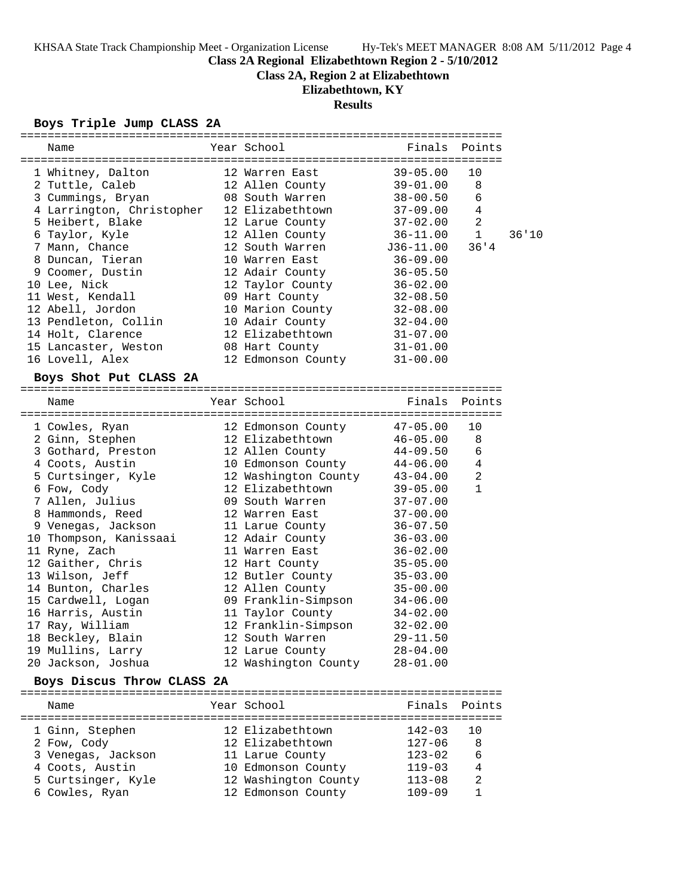**Class 2A Regional Elizabethtown Region 2 - 5/10/2012**

**Class 2A, Region 2 at Elizabethtown**

# **Elizabethtown, KY**

# **Results**

## **Boys Triple Jump CLASS 2A**

|  | Name                       |  | Year School          | Finals Points |                |       |
|--|----------------------------|--|----------------------|---------------|----------------|-------|
|  |                            |  |                      |               |                |       |
|  | 1 Whitney, Dalton          |  | 12 Warren East       | $39 - 05.00$  | 10             |       |
|  | 2 Tuttle, Caleb            |  | 12 Allen County      | $39 - 01.00$  | 8              |       |
|  | 3 Cummings, Bryan          |  | 08 South Warren      | $38 - 00.50$  | 6              |       |
|  | 4 Larrington, Christopher  |  | 12 Elizabethtown     | $37 - 09.00$  | $\overline{4}$ |       |
|  | 5 Heibert, Blake           |  | 12 Larue County      | $37 - 02.00$  | $\overline{2}$ |       |
|  | 6 Taylor, Kyle             |  | 12 Allen County      | $36 - 11.00$  | $\mathbf 1$    | 36'10 |
|  | 7 Mann, Chance             |  | 12 South Warren      | J36-11.00     | 36'14          |       |
|  | 8 Duncan, Tieran           |  | 10 Warren East       | $36 - 09.00$  |                |       |
|  | 9 Coomer, Dustin           |  | 12 Adair County      | $36 - 05.50$  |                |       |
|  | 10 Lee, Nick               |  | 12 Taylor County     | $36 - 02.00$  |                |       |
|  | 11 West, Kendall           |  | 09 Hart County       | $32 - 08.50$  |                |       |
|  | 12 Abell, Jordon           |  | 10 Marion County     | $32 - 08.00$  |                |       |
|  | 13 Pendleton, Collin       |  | 10 Adair County      | $32 - 04.00$  |                |       |
|  | 14 Holt, Clarence          |  | 12 Elizabethtown     | $31 - 07.00$  |                |       |
|  | 15 Lancaster, Weston       |  | 08 Hart County       | $31 - 01.00$  |                |       |
|  | 16 Lovell, Alex            |  | 12 Edmonson County   | $31 - 00.00$  |                |       |
|  |                            |  |                      |               |                |       |
|  | Boys Shot Put CLASS 2A     |  |                      |               |                |       |
|  |                            |  |                      |               |                |       |
|  | Name                       |  | Year School          | Finals        | Points         |       |
|  | 1 Cowles, Ryan             |  | 12 Edmonson County   | $47 - 05.00$  | 10             |       |
|  | 2 Ginn, Stephen            |  | 12 Elizabethtown     | $46 - 05.00$  | 8              |       |
|  | 3 Gothard, Preston         |  | 12 Allen County      | $44 - 09.50$  | 6              |       |
|  | 4 Coots, Austin            |  | 10 Edmonson County   | $44 - 06.00$  | 4              |       |
|  | 5 Curtsinger, Kyle         |  | 12 Washington County | $43 - 04.00$  | $\overline{a}$ |       |
|  | 6 Fow, Cody                |  | 12 Elizabethtown     | $39 - 05.00$  | $\mathbf{1}$   |       |
|  | 7 Allen, Julius            |  | 09 South Warren      | $37 - 07.00$  |                |       |
|  |                            |  | 12 Warren East       |               |                |       |
|  | 8 Hammonds, Reed           |  |                      | $37 - 00.00$  |                |       |
|  | 9 Venegas, Jackson         |  | 11 Larue County      | $36 - 07.50$  |                |       |
|  | 10 Thompson, Kanissaai     |  | 12 Adair County      | $36 - 03.00$  |                |       |
|  | 11 Ryne, Zach              |  | 11 Warren East       | $36 - 02.00$  |                |       |
|  | 12 Gaither, Chris          |  | 12 Hart County       | $35 - 05.00$  |                |       |
|  | 13 Wilson, Jeff            |  | 12 Butler County     | $35 - 03.00$  |                |       |
|  | 14 Bunton, Charles         |  | 12 Allen County      | $35 - 00.00$  |                |       |
|  | 15 Cardwell, Logan         |  | 09 Franklin-Simpson  | $34 - 06.00$  |                |       |
|  | 16 Harris, Austin          |  | 11 Taylor County     | $34 - 02.00$  |                |       |
|  | 17 Ray, William            |  | 12 Franklin-Simpson  | $32 - 02.00$  |                |       |
|  | 18 Beckley, Blain          |  | 12 South Warren      | $29 - 11.50$  |                |       |
|  | 19 Mullins, Larry          |  | 12 Larue County      | $28 - 04.00$  |                |       |
|  | 20 Jackson, Joshua         |  | 12 Washington County | $28 - 01.00$  |                |       |
|  | Boys Discus Throw CLASS 2A |  |                      |               |                |       |
|  |                            |  |                      |               |                |       |
|  | Name                       |  | Year School          | Finals        | Points         |       |
|  |                            |  |                      |               |                |       |
|  | 1 Ginn, Stephen            |  | 12 Elizabethtown     | $142 - 03$    | 10             |       |
|  | 2 Fow, Cody                |  | 12 Elizabethtown     | $127 - 06$    | 8              |       |
|  | 3 Venegas, Jackson         |  | 11 Larue County      | $123 - 02$    | 6              |       |
|  | 4 Coots, Austin            |  | 10 Edmonson County   | $119 - 03$    | $\overline{4}$ |       |
|  | 5 Curtsinger, Kyle         |  | 12 Washington County | $113 - 08$    | 2              |       |

6 Cowles, Ryan 12 Edmonson County 109-09 1